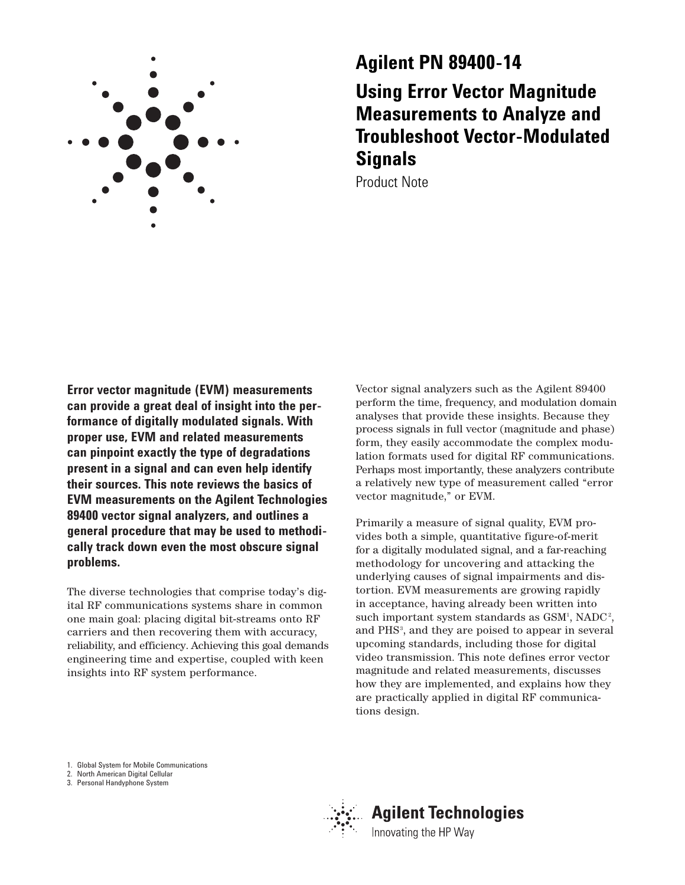

# **Agilent PN 89400-14 Using Error Vector Magnitude Measurements to Analyze and Troubleshoot Vector-Modulated Signals**

Product Note

**Error vector magnitude (EVM) measurements can provide a great deal of insight into the performance of digitally modulated signals. With proper use, EVM and related measurements can pinpoint exactly the type of degradations present in a signal and can even help identify their sources. This note reviews the basics of EVM measurements on the Agilent Technologies 89400 vector signal analyzers, and outlines a general procedure that may be used to methodically track down even the most obscure signal problems.**

The diverse technologies that comprise today's digital RF communications systems share in common one main goal: placing digital bit-streams onto RF carriers and then recovering them with accuracy, reliability, and efficiency. Achieving this goal demands engineering time and expertise, coupled with keen insights into RF system performance.

Vector signal analyzers such as the Agilent 89400 perform the time, frequency, and modulation domain analyses that provide these insights. Because they process signals in full vector (magnitude and phase) form, they easily accommodate the complex modulation formats used for digital RF communications. Perhaps most importantly, these analyzers contribute a relatively new type of measurement called "error vector magnitude," or EVM.

Primarily a measure of signal quality, EVM provides both a simple, quantitative figure-of-merit for a digitally modulated signal, and a far-reaching methodology for uncovering and attacking the underlying causes of signal impairments and distortion. EVM measurements are growing rapidly in acceptance, having already been written into such important system standards as GSM<sup>1</sup>, NADC<sup>2</sup>, and PHS<sup>3</sup>, and they are poised to appear in several upcoming standards, including those for digital video transmission. This note defines error vector magnitude and related measurements, discusses how they are implemented, and explains how they are practically applied in digital RF communications design.

1. Global System for Mobile Communications

2. North American Digital Cellular

3. Personal Handyphone System



# **Agilent Technologies**

Innovating the HP Way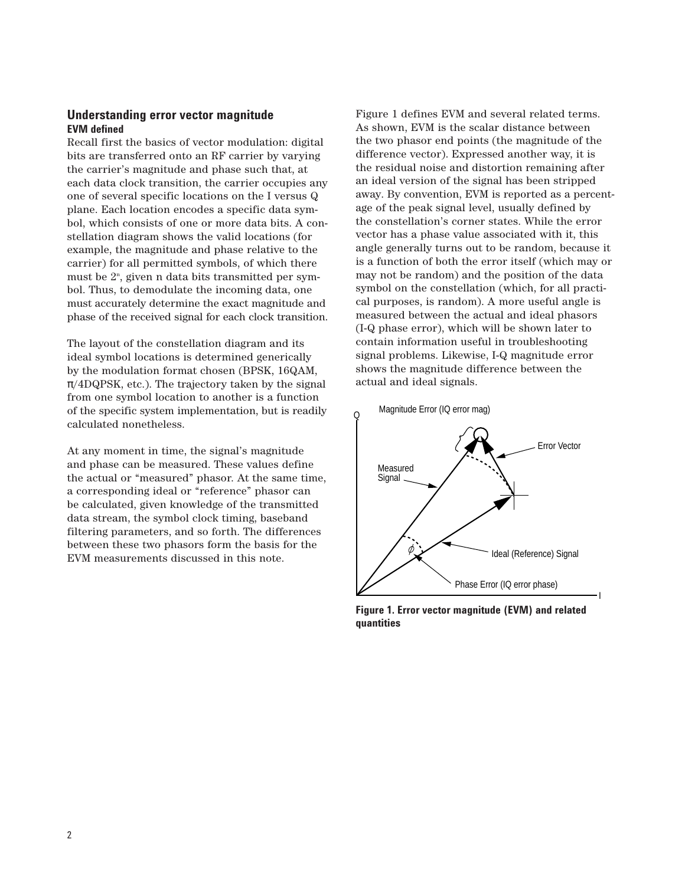# **Understanding error vector magnitude EVM defined**

Recall first the basics of vector modulation: digital bits are transferred onto an RF carrier by varying the carrier's magnitude and phase such that, at each data clock transition, the carrier occupies any one of several specific locations on the I versus Q plane. Each location encodes a specific data symbol, which consists of one or more data bits. A constellation diagram shows the valid locations (for example, the magnitude and phase relative to the carrier) for all permitted symbols, of which there must be 2n , given n data bits transmitted per symbol. Thus, to demodulate the incoming data, one must accurately determine the exact magnitude and phase of the received signal for each clock transition.

The layout of the constellation diagram and its ideal symbol locations is determined generically by the modulation format chosen (BPSK, 16QAM,  $\pi$ /4DQPSK, etc.). The trajectory taken by the signal from one symbol location to another is a function of the specific system implementation, but is readily calculated nonetheless.

At any moment in time, the signal's magnitude and phase can be measured. These values define the actual or "measured" phasor. At the same time, a corresponding ideal or "reference" phasor can be calculated, given knowledge of the transmitted data stream, the symbol clock timing, baseband filtering parameters, and so forth. The differences between these two phasors form the basis for the EVM measurements discussed in this note.

Figure 1 defines EVM and several related terms. As shown, EVM is the scalar distance between the two phasor end points (the magnitude of the difference vector). Expressed another way, it is the residual noise and distortion remaining after an ideal version of the signal has been stripped away. By convention, EVM is reported as a percentage of the peak signal level, usually defined by the constellation's corner states. While the error vector has a phase value associated with it, this angle generally turns out to be random, because it is a function of both the error itself (which may or may not be random) and the position of the data symbol on the constellation (which, for all practical purposes, is random). A more useful angle is measured between the actual and ideal phasors (I-Q phase error), which will be shown later to contain information useful in troubleshooting signal problems. Likewise, I-Q magnitude error shows the magnitude difference between the actual and ideal signals.



**Figure 1. Error vector magnitude (EVM) and related quantities**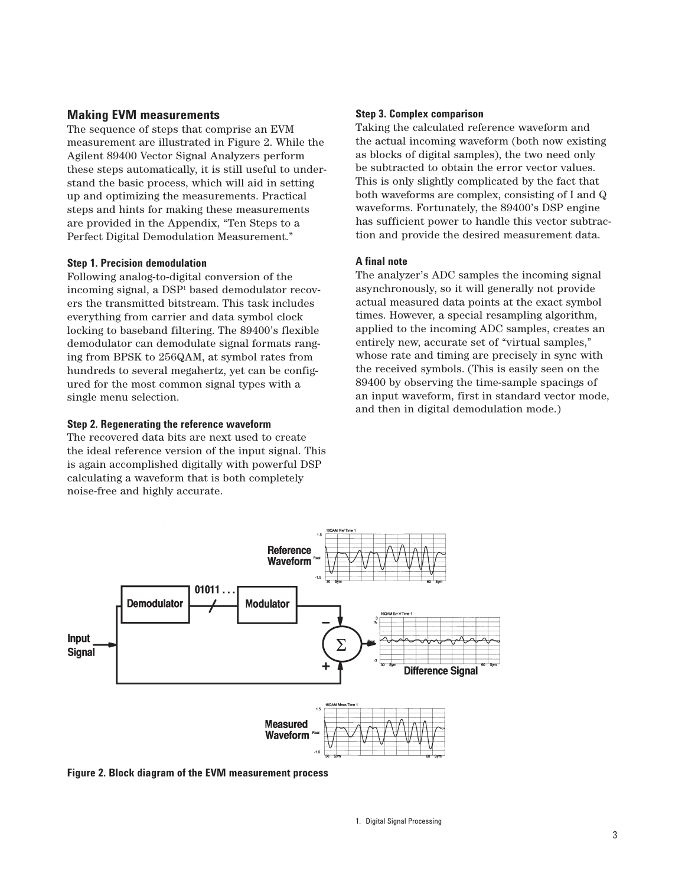# **Making EVM measurements**

The sequence of steps that comprise an EVM measurement are illustrated in Figure 2. While the Agilent 89400 Vector Signal Analyzers perform these steps automatically, it is still useful to understand the basic process, which will aid in setting up and optimizing the measurements. Practical steps and hints for making these measurements are provided in the Appendix, "Ten Steps to a Perfect Digital Demodulation Measurement."

#### **Step 1. Precision demodulation**

Following analog-to-digital conversion of the incoming signal, a DSP1 based demodulator recovers the transmitted bitstream. This task includes everything from carrier and data symbol clock locking to baseband filtering. The 89400's flexible demodulator can demodulate signal formats ranging from BPSK to 256QAM, at symbol rates from hundreds to several megahertz, yet can be configured for the most common signal types with a single menu selection.

#### **Step 2. Regenerating the reference waveform**

The recovered data bits are next used to create the ideal reference version of the input signal. This is again accomplished digitally with powerful DSP calculating a waveform that is both completely noise-free and highly accurate.

#### **Step 3. Complex comparison**

Taking the calculated reference waveform and the actual incoming waveform (both now existing as blocks of digital samples), the two need only be subtracted to obtain the error vector values. This is only slightly complicated by the fact that both waveforms are complex, consisting of I and Q waveforms. Fortunately, the 89400's DSP engine has sufficient power to handle this vector subtraction and provide the desired measurement data.

#### **A final note**

The analyzer's ADC samples the incoming signal asynchronously, so it will generally not provide actual measured data points at the exact symbol times. However, a special resampling algorithm, applied to the incoming ADC samples, creates an entirely new, accurate set of "virtual samples," whose rate and timing are precisely in sync with the received symbols. (This is easily seen on the 89400 by observing the time-sample spacings of an input waveform, first in standard vector mode, and then in digital demodulation mode.)



**Figure 2. Block diagram of the EVM measurement process**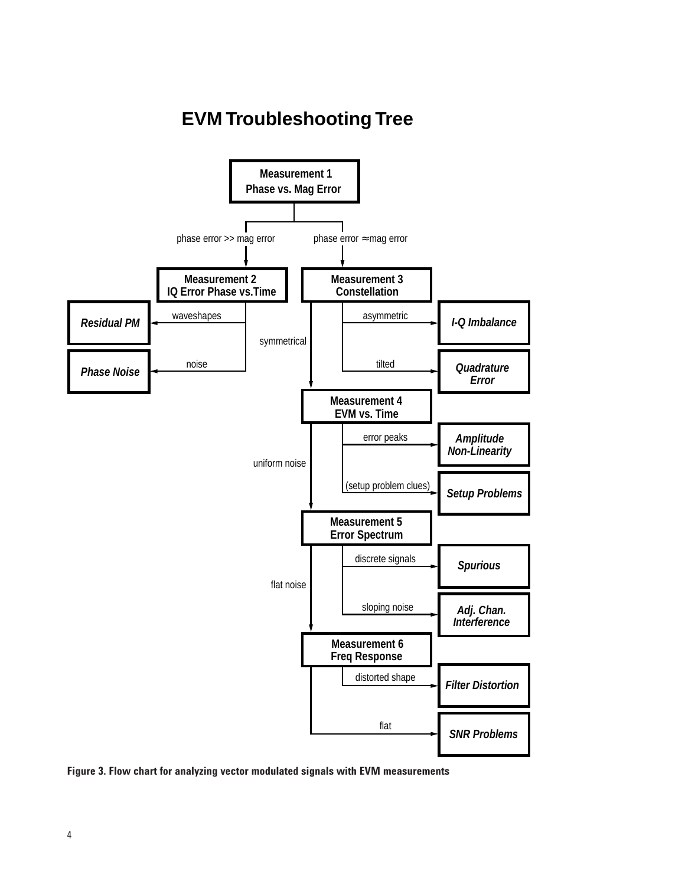# **EVM Troubleshooting Tree**



**Figure 3. Flow chart for analyzing vector modulated signals with EVM measurements**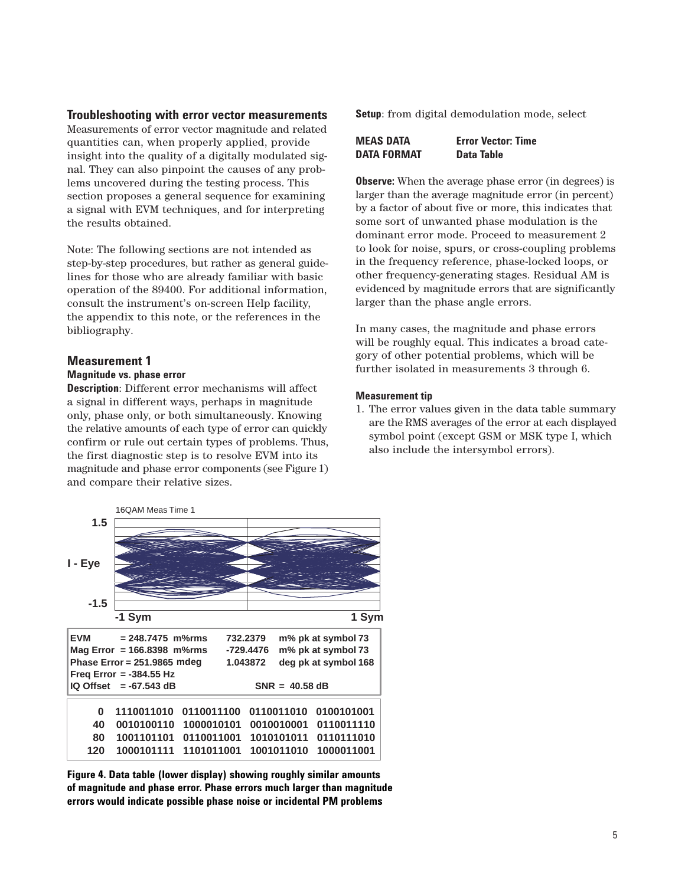#### **Troubleshooting with error vector measurements**

Measurements of error vector magnitude and related quantities can, when properly applied, provide insight into the quality of a digitally modulated signal. They can also pinpoint the causes of any problems uncovered during the testing process. This section proposes a general sequence for examining a signal with EVM techniques, and for interpreting the results obtained.

Note: The following sections are not intended as step-by-step procedures, but rather as general guidelines for those who are already familiar with basic operation of the 89400. For additional information, consult the instrument's on-screen Help facility, the appendix to this note, or the references in the bibliography.

#### **Measurement 1**

#### **Magnitude vs. phase error**

**Description**: Different error mechanisms will affect a signal in different ways, perhaps in magnitude only, phase only, or both simultaneously. Knowing the relative amounts of each type of error can quickly confirm or rule out certain types of problems. Thus, the first diagnostic step is to resolve EVM into its magnitude and phase error components (see Figure 1) and compare their relative sizes.

**Setup**: from digital demodulation mode, select

| <b>MEAS DATA</b>   | <b>Error Vector: Time</b> |
|--------------------|---------------------------|
| <b>DATA FORMAT</b> | Data Table                |

**Observe:** When the average phase error (in degrees) is larger than the average magnitude error (in percent) by a factor of about five or more, this indicates that some sort of unwanted phase modulation is the dominant error mode. Proceed to measurement 2 to look for noise, spurs, or cross-coupling problems in the frequency reference, phase-locked loops, or other frequency-generating stages. Residual AM is evidenced by magnitude errors that are significantly larger than the phase angle errors.

In many cases, the magnitude and phase errors will be roughly equal. This indicates a broad category of other potential problems, which will be further isolated in measurements 3 through 6.

#### **Measurement tip**

1. The error values given in the data table summary are the RMS averages of the error at each displayed symbol point (except GSM or MSK type I, which also include the intersymbol errors).



**Figure 4. Data table (lower display) showing roughly similar amounts of magnitude and phase error. Phase errors much larger than magnitude errors would indicate possible phase noise or incidental PM problems**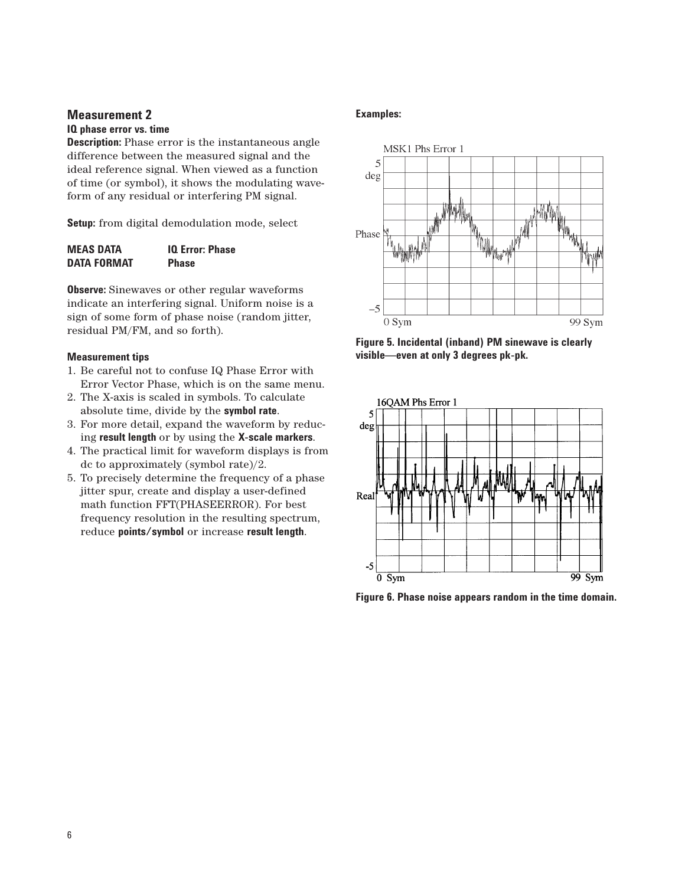#### **IQ phase error vs. time**

**Description:** Phase error is the instantaneous angle difference between the measured signal and the ideal reference signal. When viewed as a function of time (or symbol), it shows the modulating waveform of any residual or interfering PM signal.

**Setup:** from digital demodulation mode, select

| <b>MEAS DATA</b>   | <b>10 Error: Phase</b> |
|--------------------|------------------------|
| <b>DATA FORMAT</b> | <b>Phase</b>           |

**Observe:** Sinewaves or other regular waveforms indicate an interfering signal. Uniform noise is a sign of some form of phase noise (random jitter, residual PM/FM, and so forth).

#### **Measurement tips**

- 1. Be careful not to confuse IQ Phase Error with Error Vector Phase, which is on the same menu.
- 2. The X-axis is scaled in symbols. To calculate absolute time, divide by the **symbol rate**.
- 3. For more detail, expand the waveform by reducing **result length** or by using the **X-scale markers**.
- 4. The practical limit for waveform displays is from dc to approximately (symbol rate)/2.
- 5. To precisely determine the frequency of a phase jitter spur, create and display a user-defined math function FFT(PHASEERROR). For best frequency resolution in the resulting spectrum, reduce **points/symbol** or increase **result length**.

#### **Examples:**



**Figure 5. Incidental (inband) PM sinewave is clearly visible—even at only 3 degrees pk-pk.**



**Figure 6. Phase noise appears random in the time domain.**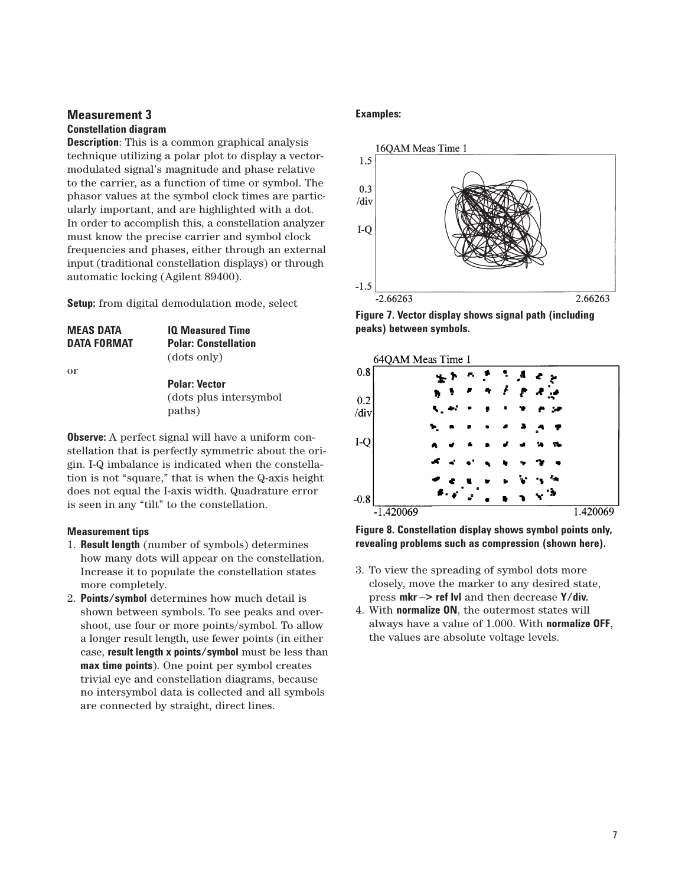## **Measurement 3 Constellation diagram**

**Description**: This is a common graphical analysis technique utilizing a polar plot to display a vectormodulated signal's magnitude and phase relative to the carrier, as a function of time or symbol. The phasor values at the symbol clock times are particularly important, and are highlighted with a dot. In order to accomplish this, a constellation analyzer must know the precise carrier and symbol clock frequencies and phases, either through an external input (traditional constellation displays) or through automatic locking (Agilent 89400).

**Setup:** from digital demodulation mode, select

| <b>MEAS DATA</b>   | <b>IQ Measured Time</b>                         |
|--------------------|-------------------------------------------------|
| <b>DATA FORMAT</b> | <b>Polar: Constellation</b>                     |
|                    | (dots only)                                     |
| $\alpha$           |                                                 |
|                    | <b>Polar: Vector</b>                            |
|                    | والمستحدث والمتحاول والمستحدث والمتحدث والمناقي |

(dots plus intersymbol paths)

**Observe:** A perfect signal will have a uniform constellation that is perfectly symmetric about the origin. I-Q imbalance is indicated when the constellation is not "square," that is when the Q-axis height does not equal the I-axis width. Quadrature error is seen in any "tilt" to the constellation.

### **Measurement tips**

- 1. **Result length** (number of symbols) determines how many dots will appear on the constellation. Increase it to populate the constellation states more completely.
- 2. **Points/symbol** determines how much detail is shown between symbols. To see peaks and overshoot, use four or more points/symbol. To allow a longer result length, use fewer points (in either case, **result length x points/symbol** must be less than **max time points**). One point per symbol creates trivial eye and constellation diagrams, because no intersymbol data is collected and all symbols are connected by straight, direct lines.

# **Examples:**



**Figure 7. Vector display shows signal path (including peaks) between symbols.**



**Figure 8. Constellation display shows symbol points only, revealing problems such as compression (shown here).**

- 3. To view the spreading of symbol dots more closely, move the marker to any desired state, press **mkr –> ref lvl** and then decrease **Y/div.**
- 4. With **normalize ON**, the outermost states will always have a value of 1.000. With **normalize OFF**, the values are absolute voltage levels.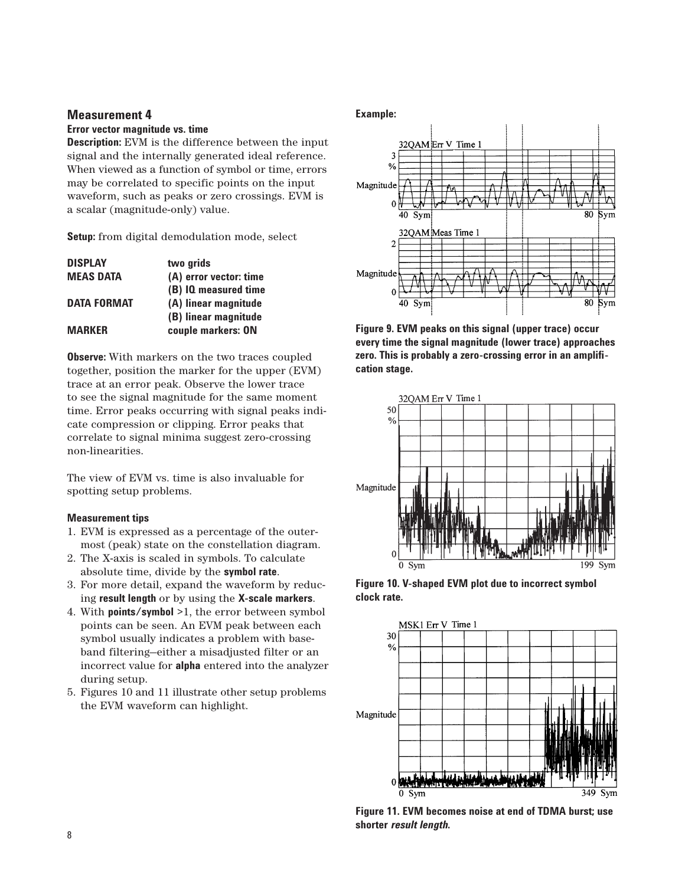#### **Error vector magnitude vs. time**

**Description:** EVM is the difference between the input signal and the internally generated ideal reference. When viewed as a function of symbol or time, errors may be correlated to specific points on the input waveform, such as peaks or zero crossings. EVM is a scalar (magnitude-only) value.

**Setup:** from digital demodulation mode, select

| <b>DISPLAY</b>     | two grids              |
|--------------------|------------------------|
| <b>MEAS DATA</b>   | (A) error vector: time |
|                    | (B) IQ measured time   |
| <b>DATA FORMAT</b> | (A) linear magnitude   |
|                    | (B) linear magnitude   |
| <b>MARKFR</b>      | couple markers: ON     |
|                    |                        |

**Observe:** With markers on the two traces coupled together, position the marker for the upper (EVM) trace at an error peak. Observe the lower trace to see the signal magnitude for the same moment time. Error peaks occurring with signal peaks indicate compression or clipping. Error peaks that correlate to signal minima suggest zero-crossing non-linearities.

The view of EVM vs. time is also invaluable for spotting setup problems.

### **Measurement tips**

- 1. EVM is expressed as a percentage of the outermost (peak) state on the constellation diagram.
- 2. The X-axis is scaled in symbols. To calculate absolute time, divide by the **symbol rate**.
- 3. For more detail, expand the waveform by reducing **result length** or by using the **X-scale markers**.
- 4. With **points/symbol** >1, the error between symbol points can be seen. An EVM peak between each symbol usually indicates a problem with baseband filtering—either a misadjusted filter or an incorrect value for **alpha** entered into the analyzer during setup.
- 5. Figures 10 and 11 illustrate other setup problems the EVM waveform can highlight.

#### **Example:**



**Figure 9. EVM peaks on this signal (upper trace) occur every time the signal magnitude (lower trace) approaches zero. This is probably a zero-crossing error in an amplification stage.**



**Figure 10. V-shaped EVM plot due to incorrect symbol clock rate.** 



**Figure 11. EVM becomes noise at end of TDMA burst; use shorter** *result length***.**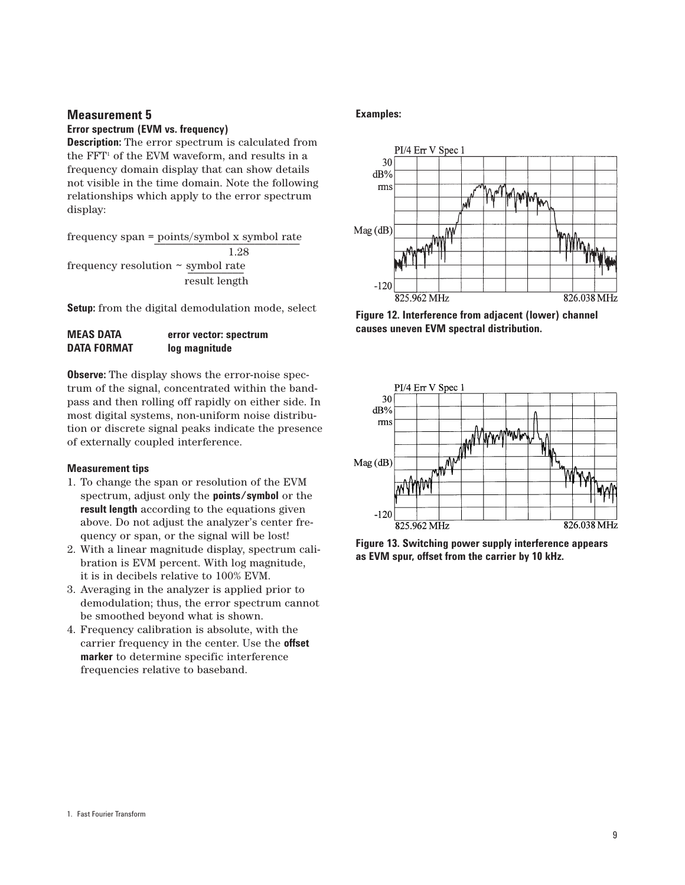#### **Error spectrum (EVM vs. frequency)**

**Description:** The error spectrum is calculated from the  $FFT<sup>1</sup>$  of the EVM waveform, and results in a frequency domain display that can show details not visible in the time domain. Note the following relationships which apply to the error spectrum display:

 $frequency span = points/symbol x symbol rate$ 1.28 frequency resolution  $\sim$  symbol rate result length

Setup: from the digital demodulation mode, select

| <b>MEAS DATA</b>   | error vector: spectrum |
|--------------------|------------------------|
| <b>DATA FORMAT</b> | log magnitude          |

**Observe:** The display shows the error-noise spectrum of the signal, concentrated within the bandpass and then rolling off rapidly on either side. In most digital systems, non-uniform noise distribution or discrete signal peaks indicate the presence of externally coupled interference.

#### **Measurement tips**

- 1. To change the span or resolution of the EVM spectrum, adjust only the **points/symbol** or the **result length** according to the equations given above. Do not adjust the analyzer's center frequency or span, or the signal will be lost!
- 2. With a linear magnitude display, spectrum calibration is EVM percent. With log magnitude, it is in decibels relative to 100% EVM.
- 3. Averaging in the analyzer is applied prior to demodulation; thus, the error spectrum cannot be smoothed beyond what is shown.
- 4. Frequency calibration is absolute, with the carrier frequency in the center. Use the **offset marker** to determine specific interference frequencies relative to baseband.

#### **Examples:**



**Figure 12. Interference from adjacent (lower) channel causes uneven EVM spectral distribution.**



**Figure 13. Switching power supply interference appears as EVM spur, offset from the carrier by 10 kHz.**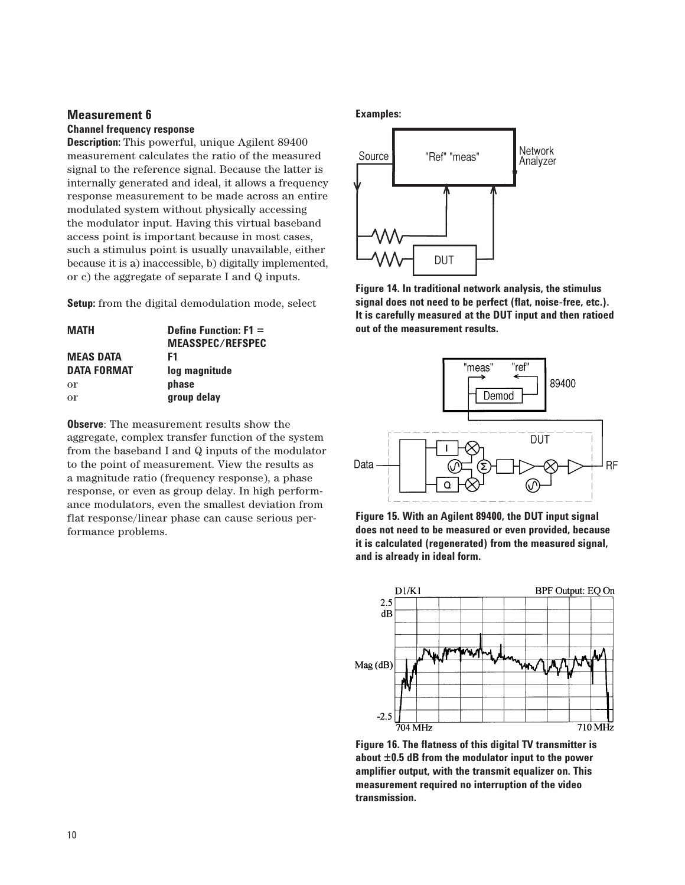# **Channel frequency response**

**Description:** This powerful, unique Agilent 89400 measurement calculates the ratio of the measured signal to the reference signal. Because the latter is internally generated and ideal, it allows a frequency response measurement to be made across an entire modulated system without physically accessing the modulator input. Having this virtual baseband access point is important because in most cases, such a stimulus point is usually unavailable, either because it is a) inaccessible, b) digitally implemented, or c) the aggregate of separate I and Q inputs.

**Setup:** from the digital demodulation mode, select

| <b>MATH</b>        | Define Function: $F1 =$<br><b>MEASSPEC/REFSPEC</b> |
|--------------------|----------------------------------------------------|
| <b>MEAS DATA</b>   | F1                                                 |
| <b>DATA FORMAT</b> | log magnitude                                      |
| or                 | phase                                              |
| or                 | group delay                                        |

**Observe**: The measurement results show the aggregate, complex transfer function of the system from the baseband I and Q inputs of the modulator to the point of measurement. View the results as a magnitude ratio (frequency response), a phase response, or even as group delay. In high performance modulators, even the smallest deviation from flat response/linear phase can cause serious performance problems.

## **Examples:**



**Figure 14. In traditional network analysis, the stimulus signal does not need to be perfect (flat, noise-free, etc.). It is carefully measured at the DUT input and then ratioed out of the measurement results.**



**Figure 15. With an Agilent 89400, the DUT input signal does not need to be measured or even provided, because it is calculated (regenerated) from the measured signal, and is already in ideal form.**



**Figure 16. The flatness of this digital TV transmitter is about ±0.5 dB from the modulator input to the power amplifier output, with the transmit equalizer on. This measurement required no interruption of the video transmission.**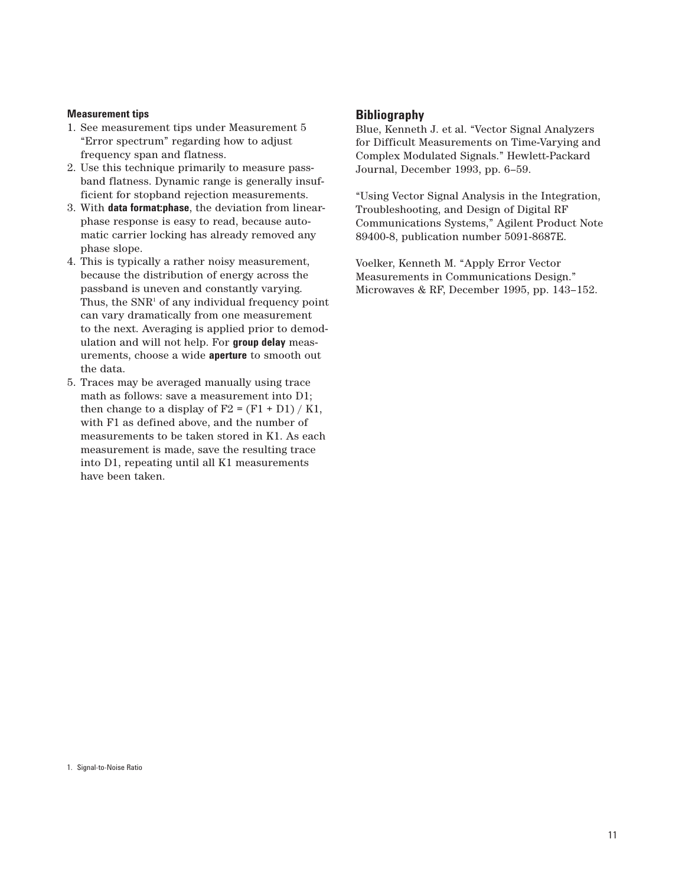#### **Measurement tips**

- 1. See measurement tips under Measurement 5 "Error spectrum" regarding how to adjust frequency span and flatness.
- 2. Use this technique primarily to measure passband flatness. Dynamic range is generally insufficient for stopband rejection measurements.
- 3. With **data format:phase**, the deviation from linearphase response is easy to read, because automatic carrier locking has already removed any phase slope.
- 4. This is typically a rather noisy measurement, because the distribution of energy across the passband is uneven and constantly varying. Thus, the  $SNR<sup>1</sup>$  of any individual frequency point can vary dramatically from one measurement to the next. Averaging is applied prior to demodulation and will not help. For **group delay** measurements, choose a wide **aperture** to smooth out the data.
- 5. Traces may be averaged manually using trace math as follows: save a measurement into D1; then change to a display of  $F2 = (F1 + D1) / K1$ , with F1 as defined above, and the number of measurements to be taken stored in K1. As each measurement is made, save the resulting trace into D1, repeating until all K1 measurements have been taken.

#### **Bibliography**

Blue, Kenneth J. et al. "Vector Signal Analyzers for Difficult Measurements on Time-Varying and Complex Modulated Signals." Hewlett-Packard Journal, December 1993, pp. 6–59.

"Using Vector Signal Analysis in the Integration, Troubleshooting, and Design of Digital RF Communications Systems," Agilent Product Note 89400-8, publication number 5091-8687E.

Voelker, Kenneth M. "Apply Error Vector Measurements in Communications Design." Microwaves & RF, December 1995, pp. 143–152.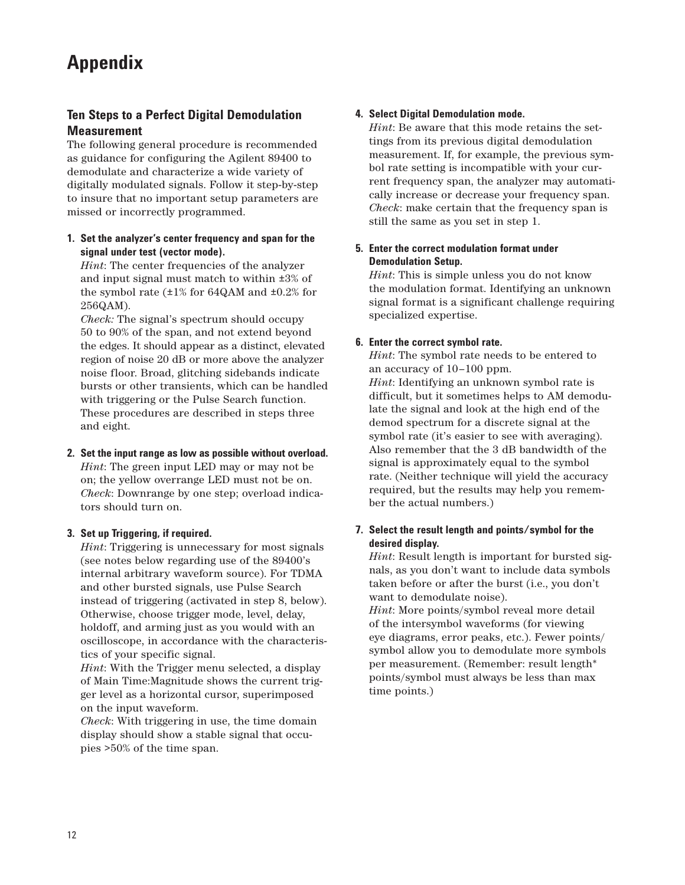# **Appendix**

# **Ten Steps to a Perfect Digital Demodulation Measurement**

The following general procedure is recommended as guidance for configuring the Agilent 89400 to demodulate and characterize a wide variety of digitally modulated signals. Follow it step-by-step to insure that no important setup parameters are missed or incorrectly programmed.

## **1. Set the analyzer's center frequency and span for the signal under test (vector mode).**

*Hint*: The center frequencies of the analyzer and input signal must match to within ±3% of the symbol rate  $(\pm 1\%$  for 64QAM and  $\pm 0.2\%$  for 256QAM).

*Check:* The signal's spectrum should occupy 50 to 90% of the span, and not extend beyond the edges. It should appear as a distinct, elevated region of noise 20 dB or more above the analyzer noise floor. Broad, glitching sidebands indicate bursts or other transients, which can be handled with triggering or the Pulse Search function. These procedures are described in steps three and eight.

# **2. Set the input range as low as possible without overload.**

*Hint*: The green input LED may or may not be on; the yellow overrange LED must not be on. *Check*: Downrange by one step; overload indicators should turn on.

# **3. Set up Triggering, if required.**

*Hint*: Triggering is unnecessary for most signals (see notes below regarding use of the 89400's internal arbitrary waveform source). For TDMA and other bursted signals, use Pulse Search instead of triggering (activated in step 8, below). Otherwise, choose trigger mode, level, delay, holdoff, and arming just as you would with an oscilloscope, in accordance with the characteristics of your specific signal.

*Hint*: With the Trigger menu selected, a display of Main Time:Magnitude shows the current trigger level as a horizontal cursor, superimposed on the input waveform.

*Check*: With triggering in use, the time domain display should show a stable signal that occupies >50% of the time span.

# **4. Select Digital Demodulation mode.**

*Hint*: Be aware that this mode retains the settings from its previous digital demodulation measurement. If, for example, the previous symbol rate setting is incompatible with your current frequency span, the analyzer may automatically increase or decrease your frequency span. *Check*: make certain that the frequency span is still the same as you set in step 1.

# **5. Enter the correct modulation format under Demodulation Setup.**

*Hint*: This is simple unless you do not know the modulation format. Identifying an unknown signal format is a significant challenge requiring specialized expertise.

# **6. Enter the correct symbol rate.**

*Hint*: The symbol rate needs to be entered to an accuracy of 10–100 ppm.

*Hint*: Identifying an unknown symbol rate is difficult, but it sometimes helps to AM demodulate the signal and look at the high end of the demod spectrum for a discrete signal at the symbol rate (it's easier to see with averaging). Also remember that the 3 dB bandwidth of the signal is approximately equal to the symbol rate. (Neither technique will yield the accuracy required, but the results may help you remember the actual numbers.)

# **7. Select the result length and points/symbol for the desired display.**

*Hint*: Result length is important for bursted signals, as you don't want to include data symbols taken before or after the burst (i.e., you don't want to demodulate noise).

*Hint*: More points/symbol reveal more detail of the intersymbol waveforms (for viewing eye diagrams, error peaks, etc.). Fewer points/ symbol allow you to demodulate more symbols per measurement. (Remember: result length\* points/symbol must always be less than max time points.)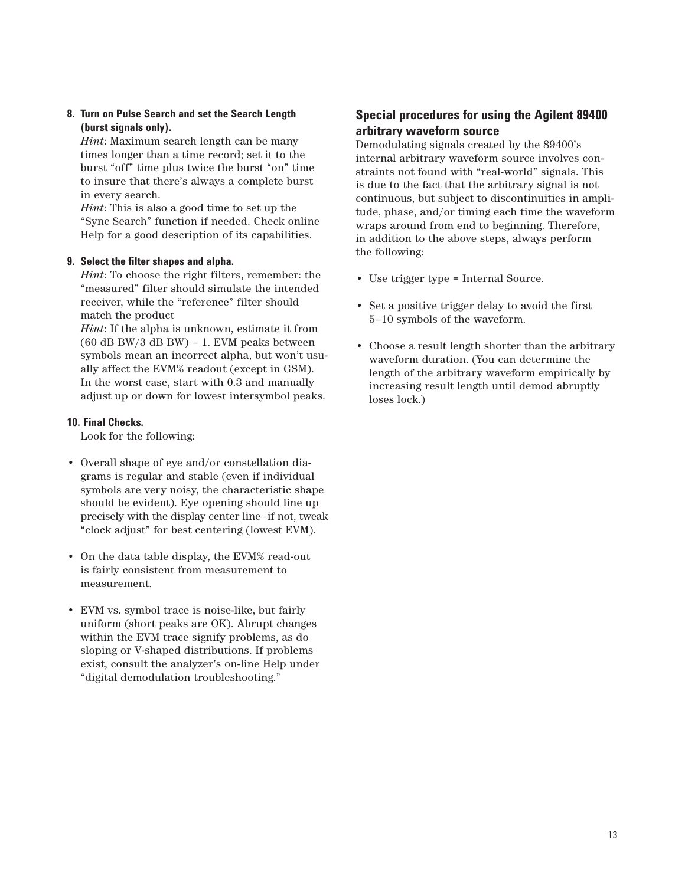## **8. Turn on Pulse Search and set the Search Length (burst signals only).**

*Hint*: Maximum search length can be many times longer than a time record; set it to the burst "off" time plus twice the burst "on" time to insure that there's always a complete burst in every search.

*Hint*: This is also a good time to set up the "Sync Search" function if needed. Check online Help for a good description of its capabilities.

#### **9. Select the filter shapes and alpha.**

*Hint*: To choose the right filters, remember: the "measured" filter should simulate the intended receiver, while the "reference" filter should match the product

*Hint*: If the alpha is unknown, estimate it from  $(60$  dB BW/3 dB BW) – 1. EVM peaks between symbols mean an incorrect alpha, but won't usually affect the EVM% readout (except in GSM). In the worst case, start with 0.3 and manually adjust up or down for lowest intersymbol peaks.

#### **10. Final Checks.**

Look for the following:

- Overall shape of eye and/or constellation diagrams is regular and stable (even if individual symbols are very noisy, the characteristic shape should be evident). Eye opening should line up precisely with the display center line—if not, tweak "clock adjust" for best centering (lowest EVM).
- On the data table display, the EVM% read-out is fairly consistent from measurement to measurement.
- EVM vs. symbol trace is noise-like, but fairly uniform (short peaks are OK). Abrupt changes within the EVM trace signify problems, as do sloping or V-shaped distributions. If problems exist, consult the analyzer's on-line Help under "digital demodulation troubleshooting."

# **Special procedures for using the Agilent 89400 arbitrary waveform source**

Demodulating signals created by the 89400's internal arbitrary waveform source involves constraints not found with "real-world" signals. This is due to the fact that the arbitrary signal is not continuous, but subject to discontinuities in amplitude, phase, and/or timing each time the waveform wraps around from end to beginning. Therefore, in addition to the above steps, always perform the following:

- Use trigger type = Internal Source.
- Set a positive trigger delay to avoid the first 5–10 symbols of the waveform.
- Choose a result length shorter than the arbitrary waveform duration. (You can determine the length of the arbitrary waveform empirically by increasing result length until demod abruptly loses lock.)